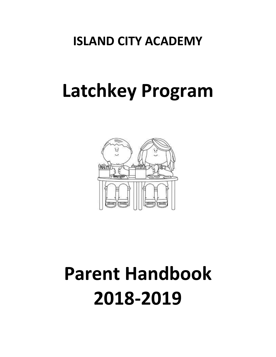# **ISLAND CITY ACADEMY**

# **Latchkey Program**



# **Parent Handbook 2018-2019**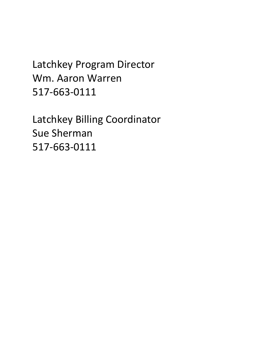Latchkey Program Director Wm. Aaron Warren 517-663-0111

Latchkey Billing Coordinator Sue Sherman 517-663-0111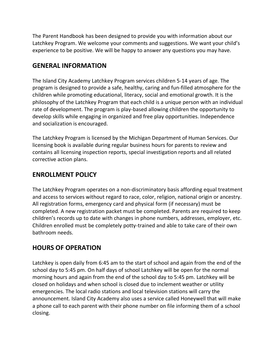The Parent Handbook has been designed to provide you with information about our Latchkey Program. We welcome your comments and suggestions. We want your child's experience to be positive. We will be happy to answer any questions you may have.

#### **GENERAL INFORMATION**

The Island City Academy Latchkey Program services children 5-14 years of age. The program is designed to provide a safe, healthy, caring and fun-filled atmosphere for the children while promoting educational, literacy, social and emotional growth. It is the philosophy of the Latchkey Program that each child is a unique person with an individual rate of development. The program is play-based allowing children the opportunity to develop skills while engaging in organized and free play opportunities. Independence and socialization is encouraged.

The Latchkey Program is licensed by the Michigan Department of Human Services. Our licensing book is available during regular business hours for parents to review and contains all licensing inspection reports, special investigation reports and all related corrective action plans.

#### **ENROLLMENT POLICY**

The Latchkey Program operates on a non-discriminatory basis affording equal treatment and access to services without regard to race, color, religion, national origin or ancestry. All registration forms, emergency card and physical form (if necessary) must be completed. A new registration packet must be completed. Parents are required to keep children's records up to date with changes in phone numbers, addresses, employer, etc. Children enrolled must be completely potty-trained and able to take care of their own bathroom needs.

# **HOURS OF OPERATION**

Latchkey is open daily from 6:45 am to the start of school and again from the end of the school day to 5:45 pm. On half days of school Latchkey will be open for the normal morning hours and again from the end of the school day to 5:45 pm. Latchkey will be closed on holidays and when school is closed due to inclement weather or utility emergencies. The local radio stations and local television stations will carry the announcement. Island City Academy also uses a service called Honeywell that will make a phone call to each parent with their phone number on file informing them of a school closing.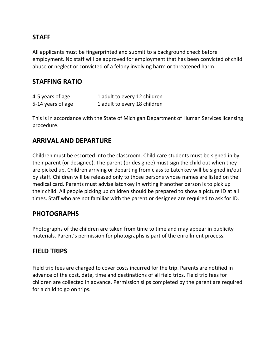#### **STAFF**

All applicants must be fingerprinted and submit to a background check before employment. No staff will be approved for employment that has been convicted of child abuse or neglect or convicted of a felony involving harm or threatened harm.

#### **STAFFING RATIO**

| 4-5 years of age  | 1 adult to every 12 children |
|-------------------|------------------------------|
| 5-14 years of age | 1 adult to every 18 children |

This is in accordance with the State of Michigan Department of Human Services licensing procedure.

#### **ARRIVAL AND DEPARTURE**

Children must be escorted into the classroom. Child care students must be signed in by their parent (or designee). The parent (or designee) must sign the child out when they are picked up. Children arriving or departing from class to Latchkey will be signed in/out by staff. Children will be released only to those persons whose names are listed on the medical card. Parents must advise latchkey in writing if another person is to pick up their child. All people picking up children should be prepared to show a picture ID at all times. Staff who are not familiar with the parent or designee are required to ask for ID.

#### **PHOTOGRAPHS**

Photographs of the children are taken from time to time and may appear in publicity materials. Parent's permission for photographs is part of the enrollment process.

#### **FIELD TRIPS**

Field trip fees are charged to cover costs incurred for the trip. Parents are notified in advance of the cost, date, time and destinations of all field trips. Field trip fees for children are collected in advance. Permission slips completed by the parent are required for a child to go on trips.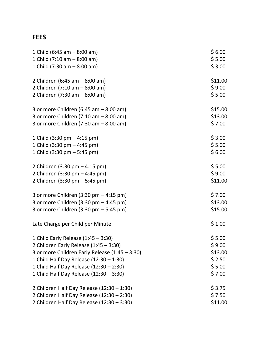# **FEES**

| 1 Child (6:45 am $-$ 8:00 am)                            | \$6.00  |
|----------------------------------------------------------|---------|
| 1 Child $(7:10 \text{ am} - 8:00 \text{ am})$            | \$5.00  |
| 1 Child (7:30 am $-$ 8:00 am)                            | \$3.00  |
| 2 Children (6:45 am - 8:00 am)                           | \$11.00 |
| 2 Children (7:10 am - 8:00 am)                           | \$9.00  |
| 2 Children (7:30 am - 8:00 am)                           | \$5.00  |
| 3 or more Children (6:45 am $-$ 8:00 am)                 | \$15.00 |
| 3 or more Children $(7:10 \text{ am} - 8:00 \text{ am})$ | \$13.00 |
| 3 or more Children $(7:30 \text{ am} - 8:00 \text{ am})$ | \$7.00  |
| 1 Child $(3:30 \text{ pm} - 4:15 \text{ pm})$            | \$3.00  |
| 1 Child $(3:30 \text{ pm} - 4:45 \text{ pm})$            | \$5.00  |
| 1 Child $(3:30 \text{ pm} - 5:45 \text{ pm})$            | \$6.00  |
| 2 Children (3:30 pm - 4:15 pm)                           | \$5.00  |
| 2 Children (3:30 pm - 4:45 pm)                           | \$9.00  |
| 2 Children (3:30 pm - 5:45 pm)                           | \$11.00 |
| 3 or more Children (3:30 pm $-$ 4:15 pm)                 | \$7.00  |
| 3 or more Children $(3:30 \text{ pm} - 4:45 \text{ pm})$ | \$13.00 |
| 3 or more Children $(3:30 \text{ pm} - 5:45 \text{ pm})$ | \$15.00 |
| Late Charge per Child per Minute                         | \$1.00  |
| 1 Child Early Release $(1:45 - 3:30)$                    | \$5.00  |
| 2 Children Early Release (1:45 - 3:30)                   | \$9.00  |
| 3 or more Children Early Release (1:45 - 3:30)           | \$13.00 |
| 1 Child Half Day Release (12:30 - 1:30)                  | \$2.50  |
| 1 Child Half Day Release (12:30 - 2:30)                  | \$5.00  |
| 1 Child Half Day Release (12:30 - 3:30)                  | \$7.00  |
| 2 Children Half Day Release $(12:30 - 1:30)$             | \$3.75  |
| 2 Children Half Day Release (12:30 - 2:30)               | \$7.50  |
| 2 Children Half Day Release (12:30 - 3:30)               | \$11.00 |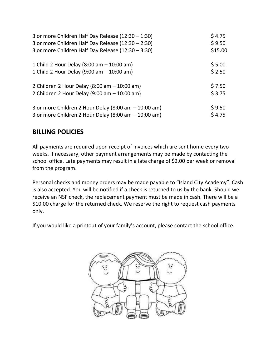| 3 or more Children Half Day Release (12:30 - 1:30)   | \$4.75  |
|------------------------------------------------------|---------|
| 3 or more Children Half Day Release (12:30 - 2:30)   | \$9.50  |
| 3 or more Children Half Day Release (12:30 - 3:30)   | \$15.00 |
| 1 Child 2 Hour Delay (8:00 am $-$ 10:00 am)          | \$5.00  |
| 1 Child 2 Hour Delay (9:00 am $-$ 10:00 am)          | \$2.50  |
| 2 Children 2 Hour Delay (8:00 am $-$ 10:00 am)       | \$7.50  |
| 2 Children 2 Hour Delay (9:00 am $-$ 10:00 am)       | \$3.75  |
| 3 or more Children 2 Hour Delay (8:00 am - 10:00 am) | \$9.50  |
| 3 or more Children 2 Hour Delay (8:00 am - 10:00 am) | \$4.75  |

# **BILLING POLICIES**

All payments are required upon receipt of invoices which are sent home every two weeks. If necessary, other payment arrangements may be made by contacting the school office. Late payments may result in a late charge of \$2.00 per week or removal from the program.

Personal checks and money orders may be made payable to "Island City Academy". Cash is also accepted. You will be notified if a check is returned to us by the bank. Should we receive an NSF check, the replacement payment must be made in cash. There will be a \$10.00 charge for the returned check. We reserve the right to request cash payments only.

If you would like a printout of your family's account, please contact the school office.

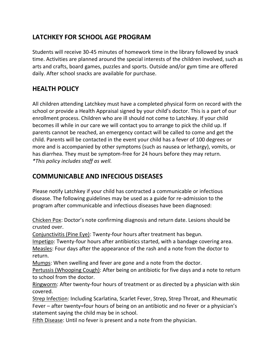# **LATCHKEY FOR SCHOOL AGE PROGRAM**

Students will receive 30-45 minutes of homework time in the library followed by snack time. Activities are planned around the special interests of the children involved, such as arts and crafts, board games, puzzles and sports. Outside and/or gym time are offered daily. After school snacks are available for purchase.

# **HEALTH POLICY**

All children attending Latchkey must have a completed physical form on record with the school or provide a Health Appraisal signed by your child's doctor. This is a part of our enrollment process. Children who are ill should not come to Latchkey. If your child becomes ill while in our care we will contact you to arrange to pick the child up. If parents cannot be reached, an emergency contact will be called to come and get the child. Parents will be contacted in the event your child has a fever of 100 degrees or more and is accompanied by other symptoms (such as nausea or lethargy), vomits, or has diarrhea. They must be symptom-free for 24 hours before they may return. *\*This policy includes staff as well.*

## **COMMUNICABLE AND INFECIOUS DISEASES**

Please notify Latchkey if your child has contracted a communicable or infectious disease. The following guidelines may be used as a guide for re-admission to the program after communicable and infectious diseases have been diagnosed:

Chicken Pox: Doctor's note confirming diagnosis and return date. Lesions should be crusted over.

Conjunctivitis (Pine Eye): Twenty-four hours after treatment has begun.

Impetigo: Twenty-four hours after antibiotics started, with a bandage covering area.

Measles: Four days after the appearance of the rash and a note from the doctor to return.

Mumps: When swelling and fever are gone and a note from the doctor.

Pertussis (Whooping Cough): After being on antibiotic for five days and a note to return to school from the doctor.

Ringworm: After twenty-four hours of treatment or as directed by a physician with skin covered.

Strep Infection: Including Scarlatina, Scarlet Fever, Strep, Strep Throat, and Rheumatic Fever – after twenty=four hours of being on an antibiotic and no fever or a physician's statement saying the child may be in school.

Fifth Disease: Until no fever is present and a note from the physician.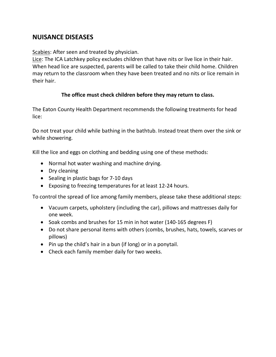#### **NUISANCE DISEASES**

Scabies: After seen and treated by physician.

Lice: The ICA Latchkey policy excludes children that have nits or live lice in their hair. When head lice are suspected, parents will be called to take their child home. Children may return to the classroom when they have been treated and no nits or lice remain in their hair.

#### **The office must check children before they may return to class.**

The Eaton County Health Department recommends the following treatments for head lice:

Do not treat your child while bathing in the bathtub. Instead treat them over the sink or while showering.

Kill the lice and eggs on clothing and bedding using one of these methods:

- Normal hot water washing and machine drying.
- Dry cleaning
- Sealing in plastic bags for 7-10 days
- Exposing to freezing temperatures for at least 12-24 hours.

To control the spread of lice among family members, please take these additional steps:

- Vacuum carpets, upholstery (including the car), pillows and mattresses daily for one week.
- Soak combs and brushes for 15 min in hot water (140-165 degrees F)
- Do not share personal items with others (combs, brushes, hats, towels, scarves or pillows)
- Pin up the child's hair in a bun (if long) or in a ponytail.
- Check each family member daily for two weeks.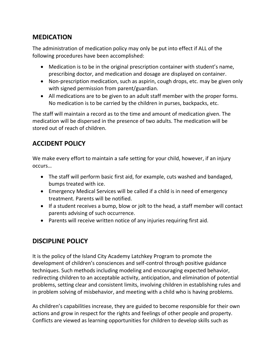#### **MEDICATION**

The administration of medication policy may only be put into effect if ALL of the following procedures have been accomplished:

- Medication is to be in the original prescription container with student's name, prescribing doctor, and medication and dosage are displayed on container.
- Non-prescription medication, such as aspirin, cough drops, etc. may be given only with signed permission from parent/guardian.
- All medications are to be given to an adult staff member with the proper forms. No medication is to be carried by the children in purses, backpacks, etc.

The staff will maintain a record as to the time and amount of medication given. The medication will be dispersed in the presence of two adults. The medication will be stored out of reach of children.

# **ACCIDENT POLICY**

We make every effort to maintain a safe setting for your child, however, if an injury occurs…

- The staff will perform basic first aid, for example, cuts washed and bandaged, bumps treated with ice.
- Emergency Medical Services will be called if a child is in need of emergency treatment. Parents will be notified.
- If a student receives a bump, blow or jolt to the head, a staff member will contact parents advising of such occurrence.
- Parents will receive written notice of any injuries requiring first aid.

# **DISCIPLINE POLICY**

It is the policy of the Island City Academy Latchkey Program to promote the development of children's consciences and self-control through positive guidance techniques. Such methods including modeling and encouraging expected behavior, redirecting children to an acceptable activity, anticipation, and elimination of potential problems, setting clear and consistent limits, involving children in establishing rules and in problem solving of misbehavior, and meeting with a child who is having problems.

As children's capabilities increase, they are guided to become responsible for their own actions and grow in respect for the rights and feelings of other people and property. Conflicts are viewed as learning opportunities for children to develop skills such as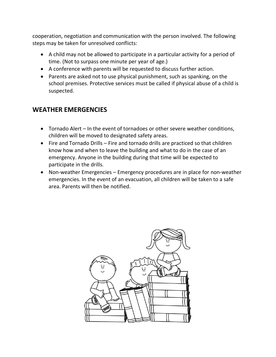cooperation, negotiation and communication with the person involved. The following steps may be taken for unresolved conflicts:

- A child may not be allowed to participate in a particular activity for a period of time. (Not to surpass one minute per year of age.)
- A conference with parents will be requested to discuss further action.
- Parents are asked not to use physical punishment, such as spanking, on the school premises. Protective services must be called if physical abuse of a child is suspected.

# **WEATHER EMERGENCIES**

- Tornado Alert In the event of tornadoes or other severe weather conditions, children will be moved to designated safety areas.
- Fire and Tornado Drills Fire and tornado drills are practiced so that children know how and when to leave the building and what to do in the case of an emergency. Anyone in the building during that time will be expected to participate in the drills.
- Non-weather Emergencies Emergency procedures are in place for non-weather emergencies. In the event of an evacuation, all children will be taken to a safe area. Parents will then be notified.